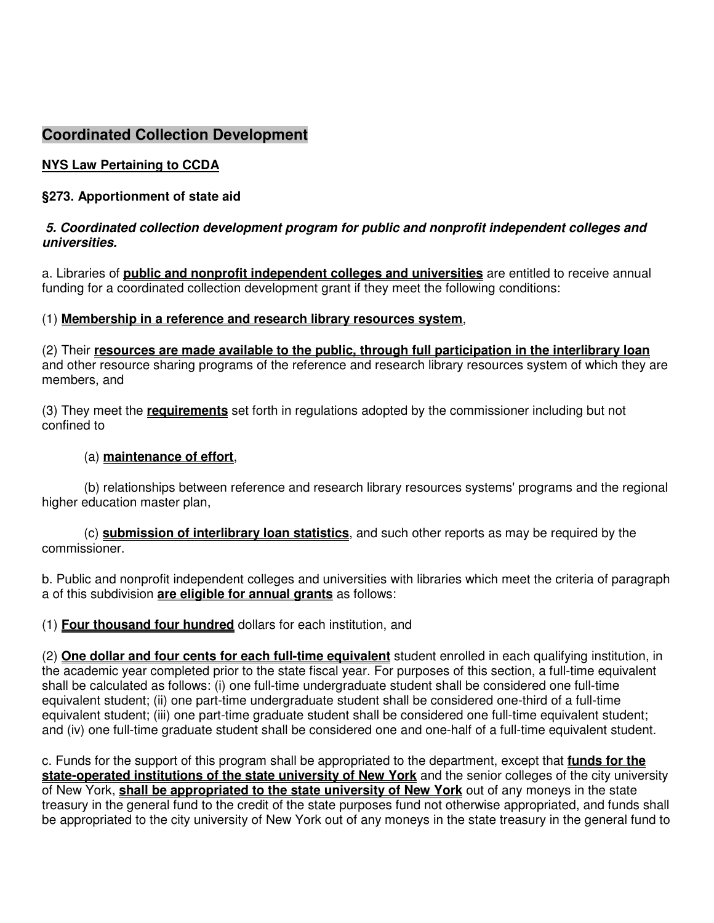# **Coordinated Collection Development**

## **NYS Law Pertaining to CCDA**

## **§273. Apportionment of state aid**

### **5. Coordinated collection development program for public and nonprofit independent colleges and universities.**

a. Libraries of **public and nonprofit independent colleges and universities** are entitled to receive annual funding for a coordinated collection development grant if they meet the following conditions:

#### (1) **Membership in a reference and research library resources system**,

(2) Their **resources are made available to the public, through full participation in the interlibrary loan** and other resource sharing programs of the reference and research library resources system of which they are members, and

(3) They meet the **requirements** set forth in regulations adopted by the commissioner including but not confined to

### (a) **maintenance of effort**,

(b) relationships between reference and research library resources systems' programs and the regional higher education master plan,

(c) **submission of interlibrary loan statistics**, and such other reports as may be required by the commissioner.

b. Public and nonprofit independent colleges and universities with libraries which meet the criteria of paragraph a of this subdivision **are eligible for annual grants** as follows:

(1) **Four thousand four hundred** dollars for each institution, and

(2) **One dollar and four cents for each full-time equivalent** student enrolled in each qualifying institution, in the academic year completed prior to the state fiscal year. For purposes of this section, a full-time equivalent shall be calculated as follows: (i) one full-time undergraduate student shall be considered one full-time equivalent student; (ii) one part-time undergraduate student shall be considered one-third of a full-time equivalent student; (iii) one part-time graduate student shall be considered one full-time equivalent student; and (iv) one full-time graduate student shall be considered one and one-half of a full-time equivalent student.

c. Funds for the support of this program shall be appropriated to the department, except that **funds for the state-operated institutions of the state university of New York** and the senior colleges of the city university of New York, **shall be appropriated to the state university of New York** out of any moneys in the state treasury in the general fund to the credit of the state purposes fund not otherwise appropriated, and funds shall be appropriated to the city university of New York out of any moneys in the state treasury in the general fund to